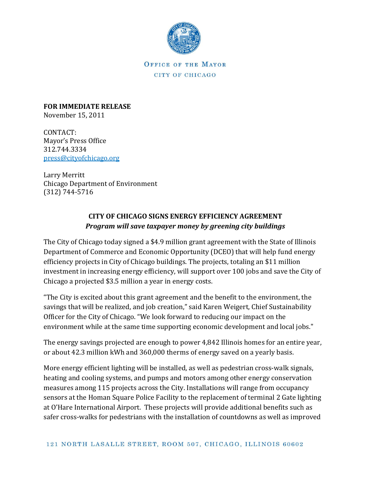

OFFICE OF THE MAYOR CITY OF CHICAGO

**FOR IMMEDIATE RELEASE** November 15, 2011

CONTACT: Mayor's Press Office 312.744.3334 [press@cityofchicago.org](mailto:press@cityofchicago.org)

Larry Merritt Chicago Department of Environment (312) 744-5716

## **CITY OF CHICAGO SIGNS ENERGY EFFICIENCY AGREEMENT** *Program will save taxpayer money by greening city buildings*

The City of Chicago today signed a \$4.9 million grant agreement with the State of Illinois Department of Commerce and Economic Opportunity (DCEO) that will help fund energy efficiency projects in City of Chicago buildings. The projects, totaling an \$11 million investment in increasing energy efficiency, will support over 100 jobs and save the City of Chicago a projected \$3.5 million a year in energy costs.

"The City is excited about this grant agreement and the benefit to the environment, the savings that will be realized, and job creation," said Karen Weigert, Chief Sustainability Officer for the City of Chicago. "We look forward to reducing our impact on the environment while at the same time supporting economic development and local jobs."

The energy savings projected are enough to power 4,842 Illinois homes for an entire year, or about 42.3 million kWh and 360,000 therms of energy saved on a yearly basis.

More energy efficient lighting will be installed, as well as pedestrian cross-walk signals, heating and cooling systems, and pumps and motors among other energy conservation measures among 115 projects across the City. Installations will range from occupancy sensors at the Homan Square Police Facility to the replacement of terminal 2 Gate lighting at O'Hare International Airport. These projects will provide additional benefits such as safer cross-walks for pedestrians with the installation of countdowns as well as improved